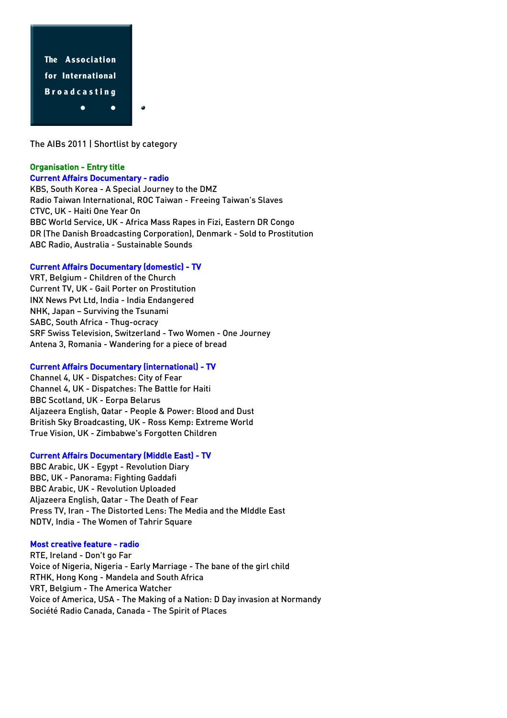

The AIBs 2011 | Shortlist by category

# Organisation - Entry title

### Current Affairs Documentary - radio

KBS, South Korea - A Special Journey to the DMZ Radio Taiwan International, ROC Taiwan - Freeing Taiwan's Slaves CTVC, UK - Haiti One Year On BBC World Service, UK - Africa Mass Rapes in Fizi, Eastern DR Congo DR (The Danish Broadcasting Corporation), Denmark - Sold to Prostitution ABC Radio, Australia - Sustainable Sounds

# Current Affairs Documentary (domestic) - TV

VRT, Belgium - Children of the Church Current TV, UK - Gail Porter on Prostitution INX News Pvt Ltd, India - India Endangered NHK, Japan – Surviving the Tsunami SABC, South Africa - Thug-ocracy SRF Swiss Television, Switzerland - Two Women - One Journey Antena 3, Romania - Wandering for a piece of bread

# Current Affairs Documentary (international) - TV

Channel 4, UK - Dispatches: City of Fear Channel 4, UK - Dispatches: The Battle for Haiti BBC Scotland, UK - Eorpa Belarus Aljazeera English, Qatar - People & Power: Blood and Dust British Sky Broadcasting, UK - Ross Kemp: Extreme World True Vision, UK - Zimbabwe's Forgotten Children

# Current Affairs Documentary (Middle East) - TV

BBC Arabic, UK - Egypt - Revolution Diary BBC, UK - Panorama: Fighting Gaddafi BBC Arabic, UK - Revolution Uploaded Aljazeera English, Qatar - The Death of Fear Press TV, Iran - The Distorted Lens: The Media and the MIddle East NDTV, India - The Women of Tahrir Square

# Most creative feature - radio

RTE, Ireland - Don't go Far Voice of Nigeria, Nigeria - Early Marriage - The bane of the girl child RTHK, Hong Kong - Mandela and South Africa VRT, Belgium - The America Watcher Voice of America, USA - The Making of a Nation: D Day invasion at Normandy Société Radio Canada, Canada - The Spirit of Places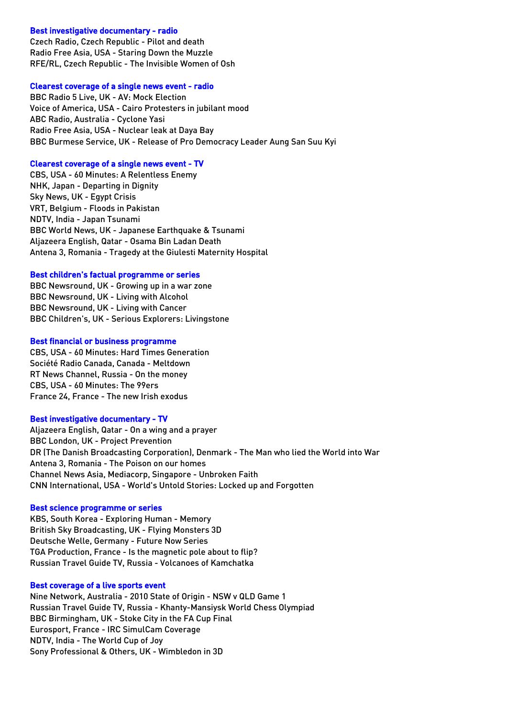# Best investigative documentary - radio

Czech Radio, Czech Republic - Pilot and death Radio Free Asia, USA - Staring Down the Muzzle RFE/RL, Czech Republic - The Invisible Women of Osh

#### Clearest coverage of a single news event - radio

BBC Radio 5 Live, UK - AV: Mock Election Voice of America, USA - Cairo Protesters in jubilant mood ABC Radio, Australia - Cyclone Yasi Radio Free Asia, USA - Nuclear leak at Daya Bay BBC Burmese Service, UK - Release of Pro Democracy Leader Aung San Suu Kyi

#### Clearest coverage of a single news event - TV

CBS, USA - 60 Minutes: A Relentless Enemy NHK, Japan - Departing in Dignity Sky News, UK - Egypt Crisis VRT, Belgium - Floods in Pakistan NDTV, India - Japan Tsunami BBC World News, UK - Japanese Earthquake & Tsunami Aljazeera English, Qatar - Osama Bin Ladan Death Antena 3, Romania - Tragedy at the Giulesti Maternity Hospital

#### Best children's factual programme or series

BBC Newsround, UK - Growing up in a war zone BBC Newsround, UK - Living with Alcohol BBC Newsround, UK - Living with Cancer BBC Children's, UK - Serious Explorers: Livingstone

#### Best financial or business programme

CBS, USA - 60 Minutes: Hard Times Generation Société Radio Canada, Canada - Meltdown RT News Channel, Russia - On the money CBS, USA - 60 Minutes: The 99ers France 24, France - The new Irish exodus

### Best investigative documentary - TV

Aljazeera English, Qatar - On a wing and a prayer BBC London, UK - Project Prevention DR (The Danish Broadcasting Corporation), Denmark - The Man who lied the World into War Antena 3, Romania - The Poison on our homes Channel News Asia, Mediacorp, Singapore - Unbroken Faith CNN International, USA - World's Untold Stories: Locked up and Forgotten

### Best science programme or series

KBS, South Korea - Exploring Human - Memory British Sky Broadcasting, UK - Flying Monsters 3D Deutsche Welle, Germany - Future Now Series TGA Production, France - Is the magnetic pole about to flip? Russian Travel Guide TV, Russia - Volcanoes of Kamchatka

### Best coverage of a live sports event

Nine Network, Australia - 2010 State of Origin - NSW v QLD Game 1 Russian Travel Guide TV, Russia - Khanty-Mansiysk World Chess Olympiad BBC Birmingham, UK - Stoke City in the FA Cup Final Eurosport, France - IRC SimulCam Coverage NDTV, India - The World Cup of Joy Sony Professional & Others, UK - Wimbledon in 3D